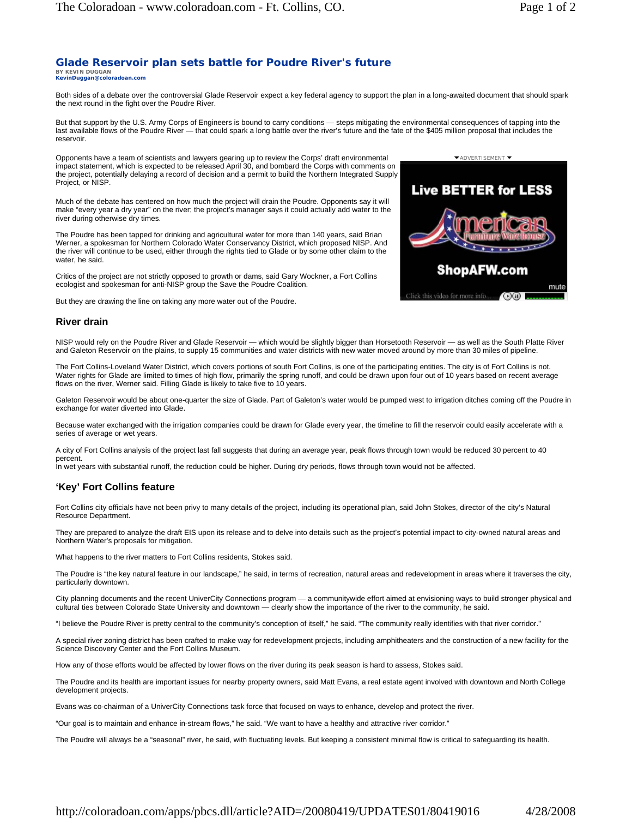## **Glade Reservoir plan sets battle for Poudre River's future BY KEVIN DUGGAN KevinDuggan@coloradoan.com**

Both sides of a debate over the controversial Glade Reservoir expect a key federal agency to support the plan in a long-awaited document that should spark the next round in the fight over the Poudre River.

But that support by the U.S. Army Corps of Engineers is bound to carry conditions — steps mitigating the environmental consequences of tapping into the last available flows of the Poudre River — that could spark a long battle over the river's future and the fate of the \$405 million proposal that includes the reservoir.

Opponents have a team of scientists and lawyers gearing up to review the Corps' draft environmental impact statement, which is expected to be released April 30, and bombard the Corps with comments on the project, potentially delaying a record of decision and a permit to build the Northern Integrated Supply Project, or NISP.

Much of the debate has centered on how much the project will drain the Poudre. Opponents say it will make "every year a dry year" on the river; the project's manager says it could actually add water to the river during otherwise dry times.

The Poudre has been tapped for drinking and agricultural water for more than 140 years, said Brian Werner, a spokesman for Northern Colorado Water Conservancy District, which proposed NISP. And the river will continue to be used, either through the rights tied to Glade or by some other claim to the water, he said.

Critics of the project are not strictly opposed to growth or dams, said Gary Wockner, a Fort Collins ecologist and spokesman for anti-NISP group the Save the Poudre Coalition.

But they are drawing the line on taking any more water out of the Poudre.

## **River drain**

NISP would rely on the Poudre River and Glade Reservoir — which would be slightly bigger than Horsetooth Reservoir — as well as the South Platte River and Galeton Reservoir on the plains, to supply 15 communities and water districts with new water moved around by more than 30 miles of pipeline.

The Fort Collins-Loveland Water District, which covers portions of south Fort Collins, is one of the participating entities. The city is of Fort Collins is not. Water rights for Glade are limited to times of high flow, primarily the spring runoff, and could be drawn upon four out of 10 years based on recent average flows on the river, Werner said. Filling Glade is likely to take five to 10 years.

Galeton Reservoir would be about one-quarter the size of Glade. Part of Galeton's water would be pumped west to irrigation ditches coming off the Poudre in exchange for water diverted into Glade.

Because water exchanged with the irrigation companies could be drawn for Glade every year, the timeline to fill the reservoir could easily accelerate with a series of average or wet years.

A city of Fort Collins analysis of the project last fall suggests that during an average year, peak flows through town would be reduced 30 percent to 40 percent.

In wet years with substantial runoff, the reduction could be higher. During dry periods, flows through town would not be affected.

## **'Key' Fort Collins feature**

Fort Collins city officials have not been privy to many details of the project, including its operational plan, said John Stokes, director of the city's Natural Resource Department.

They are prepared to analyze the draft EIS upon its release and to delve into details such as the project's potential impact to city-owned natural areas and Northern Water's proposals for mitigation.

What happens to the river matters to Fort Collins residents, Stokes said.

The Poudre is "the key natural feature in our landscape," he said, in terms of recreation, natural areas and redevelopment in areas where it traverses the city, particularly downtown.

City planning documents and the recent UniverCity Connections program — a communitywide effort aimed at envisioning ways to build stronger physical and cultural ties between Colorado State University and downtown — clearly show the importance of the river to the community, he said.

"I believe the Poudre River is pretty central to the community's conception of itself," he said. "The community really identifies with that river corridor."

A special river zoning district has been crafted to make way for redevelopment projects, including amphitheaters and the construction of a new facility for the Science Discovery Center and the Fort Collins Museum.

How any of those efforts would be affected by lower flows on the river during its peak season is hard to assess, Stokes said.

The Poudre and its health are important issues for nearby property owners, said Matt Evans, a real estate agent involved with downtown and North College development projects.

Evans was co-chairman of a UniverCity Connections task force that focused on ways to enhance, develop and protect the river.

"Our goal is to maintain and enhance in-stream flows," he said. "We want to have a healthy and attractive river corridor."

The Poudre will always be a "seasonal" river, he said, with fluctuating levels. But keeping a consistent minimal flow is critical to safeguarding its health.